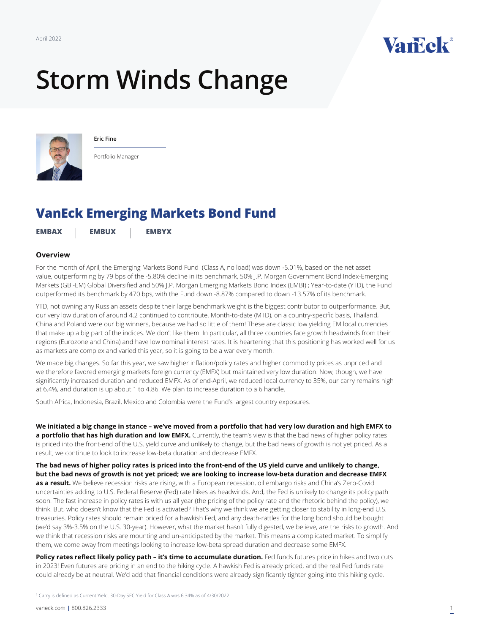

# **Storm Winds Change**



**Eric Fine**

Portfolio Manager

# **VanEck Emerging Markets Bond Fund**

**[EMBAX](https://www.vaneck.com/us/en/investments/emerging-markets-bond-fund-embax/) [EMBUX](https://www.vaneck.com/us/en/investments/emerging-markets-bond-fund-embux/) [EMBYX](https://www.vaneck.com/us/en/investments/emerging-markets-bond-fund-embyx/)**

## **Overview**

For t[he month of April, the Emerging Markets Bond Fund \(Class A, no load\) was down -5.01%, bas](https://www.vaneck.com/us/en/insights/emerging-markets-bonds/)ed on the net asset value, outperforming by 79 bps of the -5.80% decline in its benchmark, 50% J.P. Morgan Government Bond Index-Emerging Markets (GBI-EM) Global Diversified and 50% J.P. Morgan Emerging Markets Bond Index (EMBI) ; Year-to-date (YTD), the Fund outperformed its benchmark by 470 bps, with the Fund down -8.87% compared to down -13.57% of its benchmark.

YTD, not owning any Russian assets despite their large benchmark weight is the biggest contributor to outperformance. But, our very low duration of around 4.2 continued to contribute. Month-to-date (MTD), on a country-specific basis, Thailand, China and Poland were our big winners, because we had so little of them! These are classic low yielding EM local currencies that make up a big part of the indices. We don't like them. In particular, all three countries face growth headwinds from their regions (Eurozone and China) and have low nominal interest rates. It is heartening that this positioning has worked well for us as markets are complex and varied this year, so it is going to be a war every month.

We made big changes. So far this year, we saw higher inflation/policy rates and higher commodity prices as unpriced and we therefore favored emerging markets foreign currency (EMFX) but maintained very low duration. Now, though, we have significantly increased duration and reduced EMFX. As of end-April, we reduced local currency to 35%, our carry remains high at 6.4%, and duration is up about 1 to 4.86. We plan to increase duration to a 6 handle.

South Africa, Indonesia, Brazil, Mexico and Colombia were the Fund's largest country exposures.

**We initiated a big change in stance – we've moved from a portfolio that had very low duration and high EMFX to**  a portfolio that has high duration and low EMFX. Currently, the team's view is that the bad news of higher policy rates is priced into the front-end of the U.S. yield curve and unlikely to change, but the bad news of growth is not yet priced. As a result, we continue to look to increase low-beta duration and decrease EMFX.

**The bad news of higher policy rates is priced into the front-end of the US yield curve and unlikely to change, but the bad news of growth is not yet priced; we are looking to increase low-beta duration and decrease EMFX as a result.** We believe recession risks are rising, with a European recession, oil embargo risks and China's Zero-Covid uncertainties adding to U.S. Federal Reserve (Fed) rate hikes as headwinds. And, the Fed is unlikely to change its policy path soon. The fast increase in policy rates is with us all year (the pricing of the policy rate and the rhetoric behind the policy), we think. But, who doesn't know that the Fed is activated? That's why we think we are getting closer to stability in long-end U.S. treasuries. Policy rates should remain priced for a hawkish Fed, and any death-rattles for the long bond should be bought (we'd say 3%-3.5% on the U.S. 30-year). However, what the market hasn't fully digested, we believe, are the risks to growth. And we think that recession risks are mounting and un-anticipated by the market. This means a complicated market. To simplify them, we come away from meetings looking to increase low-beta spread duration and decrease some EMFX.

Policy rates reflect likely policy path - it's time to accumulate duration. Fed funds futures price in hikes and two cuts in 2023! Even futures are pricing in an end to the hiking cycle. A hawkish Fed is already priced, and the real Fed funds rate could already be at neutral. We'd add that financial conditions were already significantly tighter going into this hiking cycle.

<sup>1</sup> Carry is defined as Current Yield. 30-Day SEC Yield for Class A was 6.34% as of 4/30/2022.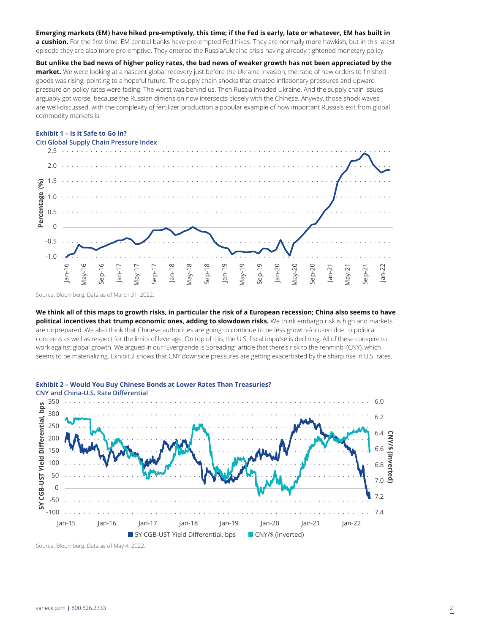#### **Emerging markets (EM) have hiked pre-emptively, this time; if the Fed is early, late or whatever, EM has built in**

**a cushion.** For the first time, EM central banks have pre-empted Fed hikes. They are normally more hawkish, but in this latest episode they are also more pre-emptive. They entered the Russia/Ukraine crisis having already tightened monetary policy.

**But unlike the bad news of higher policy rates, the bad news of weaker growth has not been appreciated by the market.** We were looking at a nascent global recovery just before the Ukraine invasion; the ratio of new orders to finished goods was rising, pointing to a hopeful future. The supply chain shocks that created inflationary pressures and upward pressure on policy rates were fading. The worst was behind us. Then Russia invaded Ukraine. And the supply chain issues arguably got worse, because the Russian dimension now intersects closely with the Chinese. Anyway, those shock waves are well-discussed, with the complexity of fertilizer production a popular example of how important Russia's exit from global commodity markets is.

### **Exhibit 1 – Is It Safe to Go in?**



Source: Bloomberg. Data as of March 31, 2022.

**We think all of this maps to growth risks, in particular the risk of a European recession; China also seems to have political incentives that trump economic ones, adding to slowdown risks.** We think embargo risk is high and markets are unprepared. We also think that Chinese authorities are going to continue to be less growth-focused due to political concerns as well as respect for the limits of leverage. On top of this, the U.S. fiscal impulse is declining. All of these conspire to work against global growth. We argued in our "Evergrande is Spreading" article that there's risk to the renminbi (CNY), which seems to be materializing. Exhibit 2 shows that CNY downside pressures are getting exacerbated by the sharp rise in U.S. rates.



Source: Bloomberg. Data as of May 4, 2022.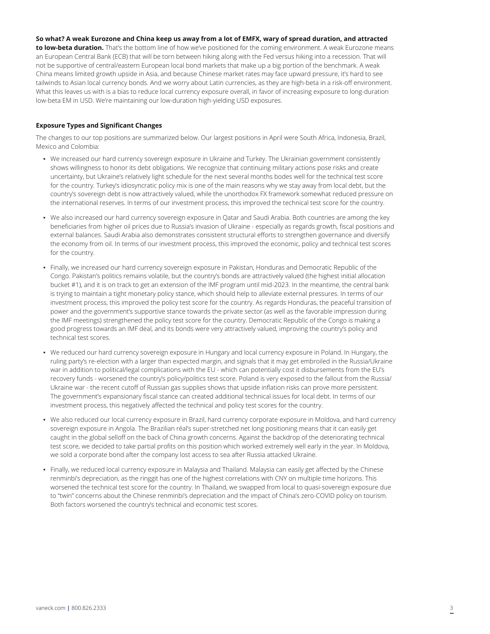# **So what? A weak Eurozone and China keep us away from a lot of EMFX, wary of spread duration, and attracted**

**to low-beta duration.** That's the bottom line of how we've positioned for the coming environment. A weak Eurozone means an European Central Bank (ECB) that will be torn between hiking along with the Fed versus hiking into a recession. That will not be supportive of central/eastern European local bond markets that make up a big portion of the benchmark. A weak China means limited growth upside in Asia, and because Chinese market rates may face upward pressure, it's hard to see tailwinds to Asian local currency bonds. And we worry about Latin currencies, as they are high-beta in a risk-off environment. What this leaves us with is a bias to reduce local currency exposure overall, in favor of increasing exposure to long-duration low-beta EM in USD. We're maintaining our low-duration high-yielding USD exposures.

#### **Exposure Types and Significant Changes**

The changes to our top positions are summarized below. Our largest positions in April were South Africa, Indonesia, Brazil, Mexico and Colombia:

- We increased our hard currency sovereign exposure in Ukraine and Turkey. The Ukrainian government consistently shows willingness to honor its debt obligations. We recognize that continuing military actions pose risks and create uncertainty, but Ukraine's relatively light schedule for the next several months bodes well for the technical test score for the country. Turkey's idiosyncratic policy mix is one of the main reasons why we stay away from local debt, but the country's sovereign debt is now attractively valued, while the unorthodox FX framework somewhat reduced pressure on the international reserves. In terms of our investment process, this improved the technical test score for the country.
- We also increased our hard currency sovereign exposure in Qatar and Saudi Arabia. Both countries are among the key beneficiaries from higher oil prices due to Russia's invasion of Ukraine - especially as regards growth, fiscal positions and external balances. Saudi Arabia also demonstrates consistent structural efforts to strengthen governance and diversify the economy from oil. In terms of our investment process, this improved the economic, policy and technical test scores for the country.
- Finally, we increased our hard currency sovereign exposure in Pakistan, Honduras and Democratic Republic of the Congo. Pakistan's politics remains volatile, but the country's bonds are attractively valued (the highest initial allocation bucket #1), and it is on track to get an extension of the IMF program until mid-2023. In the meantime, the central bank is trying to maintain a tight monetary policy stance, which should help to alleviate external pressures. In terms of our investment process, this improved the policy test score for the country. As regards Honduras, the peaceful transition of power and the government's supportive stance towards the private sector (as well as the favorable impression during the IMF meetings) strengthened the policy test score for the country. Democratic Republic of the Congo is making a good progress towards an IMF deal, and its bonds were very attractively valued, improving the country's policy and technical test scores.
- We reduced our hard currency sovereign exposure in Hungary and local currency exposure in Poland. In Hungary, the ruling party's re-election with a larger than expected margin, and signals that it may get embroiled in the Russia/Ukraine war in addition to political/legal complications with the EU - which can potentially cost it disbursements from the EU's recovery funds - worsened the country's policy/politics test score. Poland is very exposed to the fallout from the Russia/ Ukraine war - the recent cutoff of Russian gas supplies shows that upside inflation risks can prove more persistent. The government's expansionary fiscal stance can created additional technical issues for local debt. In terms of our investment process, this negatively affected the technical and policy test scores for the country.
- We also reduced our local currency exposure in Brazil, hard currency corporate exposure in Moldova, and hard currency sovereign exposure in Angola. The Brazilian réal's super-stretched net long positioning means that it can easily get caught in the global selloff on the back of China growth concerns. Against the backdrop of the deteriorating technical test score, we decided to take partial profits on this position which worked extremely well early in the year. In Moldova, we sold a corporate bond after the company lost access to sea after Russia attacked Ukraine.
- Finally, we reduced local currency exposure in Malaysia and Thailand. Malaysia can easily get affected by the Chinese renminbi's depreciation, as the ringgit has one of the highest correlations with CNY on multiple time horizons. This worsened the technical test score for the country. In Thailand, we swapped from local to quasi-sovereign exposure due to "twin" concerns about the Chinese renminbi's depreciation and the impact of China's zero-COVID policy on tourism. Both factors worsened the country's technical and economic test scores.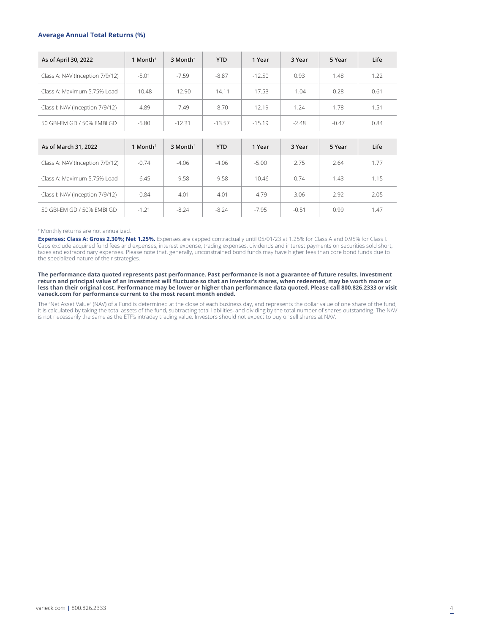#### **Average Annual Total Returns (%)**

| As of April 30, 2022            | 1 Month $†$ | 3 Month <sup>†</sup> | <b>YTD</b> | 1 Year   | 3 Year  | 5 Year  | Life |
|---------------------------------|-------------|----------------------|------------|----------|---------|---------|------|
| Class A: NAV (Inception 7/9/12) | $-5.01$     | $-7.59$              | $-8.87$    | $-12.50$ | 0.93    | 1.48    | 1.22 |
| Class A: Maximum 5.75% Load     | $-10.48$    | $-12.90$             | $-14.11$   | $-17.53$ | $-1.04$ | 0.28    | 0.61 |
| Class I: NAV (Inception 7/9/12) | $-4.89$     | $-7.49$              | $-8.70$    | $-12.19$ | 1.24    | 1.78    | 1.51 |
| 50 GBI-EM GD / 50% EMBI GD      | $-5.80$     | $-12.31$             | $-13.57$   | $-15.19$ | $-2.48$ | $-0.47$ | 0.84 |
|                                 |             |                      |            |          |         |         |      |
| As of March 31, 2022            | 1 Month $†$ | 3 Month <sup>†</sup> | <b>YTD</b> | 1 Year   | 3 Year  | 5 Year  | Life |
| Class A: NAV (Inception 7/9/12) | $-0.74$     | $-4.06$              | $-4.06$    | $-5.00$  | 2.75    | 2.64    | 1.77 |
| Class A: Maximum 5.75% Load     | $-6.45$     | $-9.58$              | $-9.58$    | $-10.46$ | 0.74    | 1.43    | 1.15 |
| Class I: NAV (Inception 7/9/12) | $-0.84$     | $-4.01$              | $-4.01$    | $-4.79$  | 3.06    | 2.92    | 2.05 |
| 50 GBI-EM GD / 50% EMBI GD      | $-1.21$     | $-8.24$              | $-8.24$    | $-7.95$  | $-0.51$ | 0.99    | 1.47 |

#### † Monthly returns are not annualized.

**Expenses: Class A: Gross 2.30%; Net 1.25%.** Expenses are capped contractually until 05/01/23 at 1.25% for Class A and 0.95% for Class I.<br>Caps exclude acquired fund fees and expenses, interest expense, trading expenses, di taxes and extraordinary expenses. Please note that, generally, unconstrained bond funds may have higher fees than core bond funds due to the specialized nature of their strategies.

**The performance data quoted represents past performance. Past performance is not a guarantee of future results. Investment return and principal value of an investment will fluctuate so that an investor's shares, when redeemed, may be worth more or less than their original cost. Performance may be lower or higher than performance data quoted. Please call 800.826.2333 or visit vaneck.com for performance current to the most recent month ended.**

The "Net Asset Value" (NAV) of a Fund is determined at the close of each business day, and represents the dollar value of one share of the fund; it is calculated by taking the total assets of the fund, subtracting total liabilities, and dividing by the total number of shares outstanding. The NAV is not necessarily the same as the ETF's intraday trading value. Investors should not expect to buy or sell shares at NAV.